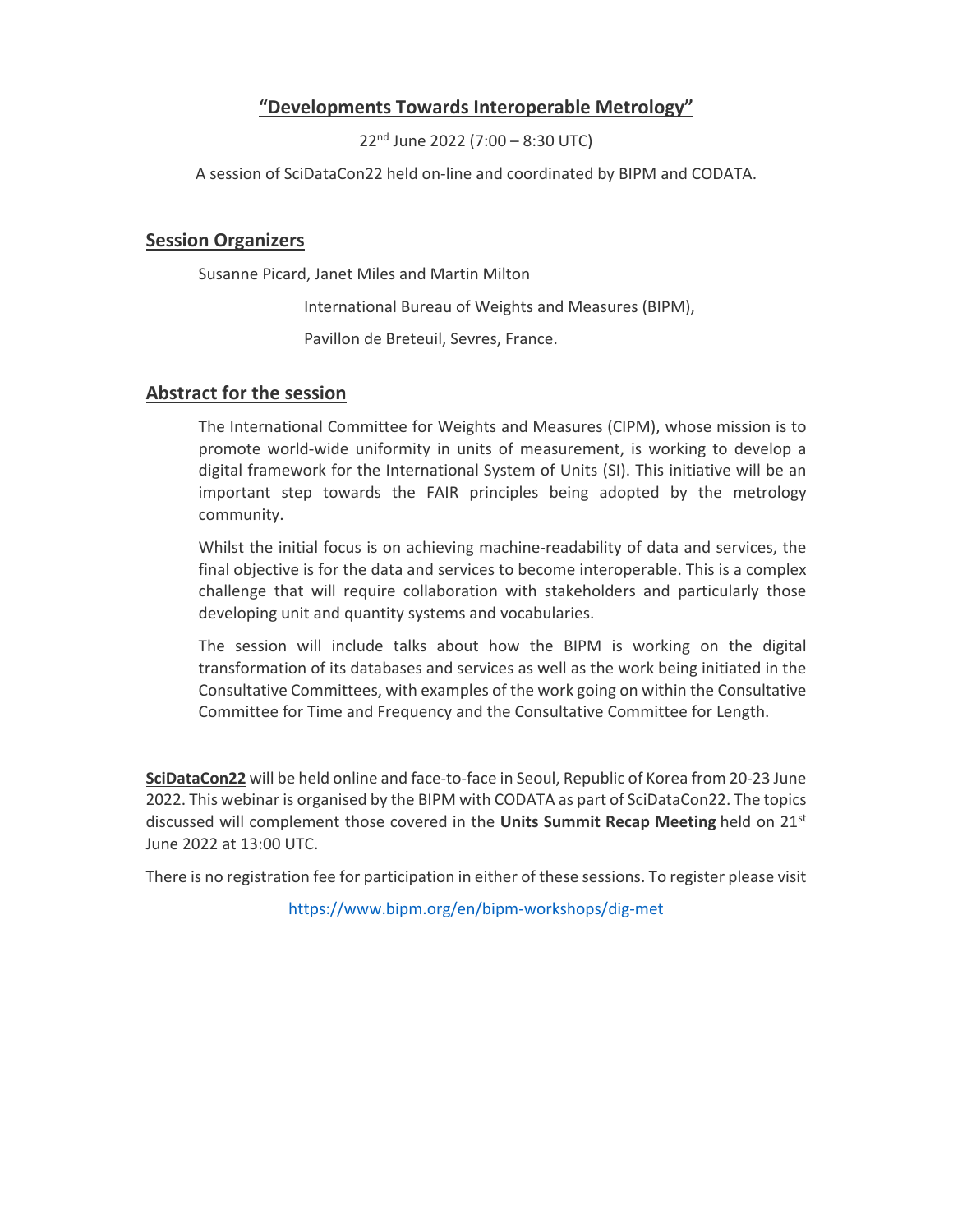## **"Developments Towards Interoperable Metrology"**

22nd June 2022 (7:00 – 8:30 UTC)

A session of SciDataCon22 held on‐line and coordinated by BIPM and CODATA.

## **Session Organizers**

Susanne Picard, Janet Miles and Martin Milton

International Bureau of Weights and Measures (BIPM),

Pavillon de Breteuil, Sevres, France.

## **Abstract for the session**

The International Committee for Weights and Measures (CIPM), whose mission is to promote world-wide uniformity in units of measurement, is working to develop a digital framework for the International System of Units (SI). This initiative will be an important step towards the FAIR principles being adopted by the metrology community.

Whilst the initial focus is on achieving machine-readability of data and services, the final objective is for the data and services to become interoperable. This is a complex challenge that will require collaboration with stakeholders and particularly those developing unit and quantity systems and vocabularies.

The session will include talks about how the BIPM is working on the digital transformation of its databases and services as well as the work being initiated in the Consultative Committees, with examples of the work going on within the Consultative Committee for Time and Frequency and the Consultative Committee for Length.

**SciDataCon22** will be held online and face‐to‐face in Seoul, Republic of Korea from 20‐23 June 2022. This webinar is organised by the BIPM with CODATA as part of SciDataCon22. The topics discussed will complement those covered in the **Units Summit Recap Meeting** held on 21st June 2022 at 13:00 UTC.

There is no registration fee for participation in either of these sessions. To register please visit

https://www.bipm.org/en/bipm‐workshops/dig‐met